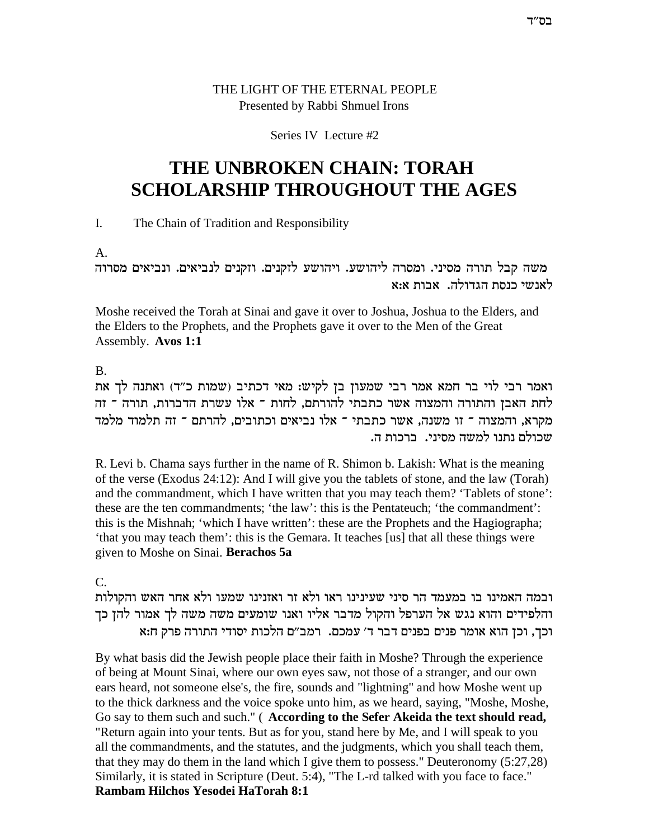# THE LIGHT OF THE ETERNAL PEOPLE Presented by Rabbi Shmuel Irons

## Series IV Lecture #2

# THE UNBROKEN CHAIN: TORAH **SCHOLARSHIP THROUGHOUT THE AGES**

 $\overline{L}$ The Chain of Tradition and Responsibility

 $A_{\cdot}$ 

משה קבל תורה מסיני. ומסרה ליהושע. ויהושע לזקנים. וזקנים לנביאים. ונביאים מסרוה לאנשי כנסת הגדולה. אבות א:א

Moshe received the Torah at Sinai and gave it over to Joshua, Joshua to the Elders, and the Elders to the Prophets, and the Prophets gave it over to the Men of the Great Assembly. Avos 1:1

 $\mathbf{B}$ 

ואמר רבי לוי בר חמא אמר רבי שמעון בן לקיש: מאי דכתיב (שמות כ"ד) ואתנה לך את לחת האבן והתורה והמצוה אשר כתבתי להורתם, לחות ־ אלו עשרת הדברות, תורה ־ זה מקרא, והמצוה ־ זו משנה, אשר כתבתי ־ אלו נביאים וכתובים, להרתם ־ זה תלמוד מלמד שכולם נתנו למשה מסיני. ברכות ה.

R. Levi b. Chama says further in the name of R. Shimon b. Lakish: What is the meaning of the verse (Exodus 24:12): And I will give you the tablets of stone, and the law (Torah) and the commandment, which I have written that you may teach them? 'Tablets of stone': these are the ten commandments; 'the law': this is the Pentateuch; 'the commandment': this is the Mishnah; 'which I have written': these are the Prophets and the Hagiographa; 'that you may teach them': this is the Gemara. It teaches [us] that all these things were given to Moshe on Sinai. Berachos 5a

 $\mathcal{C}$ .

ובמה האמינו בו במעמד הר סיני שעינינו ראו ולא זר ואזנינו שמעו ולא אחר האש והקולות והלפידים והוא נגש אל הערפל והקול מדבר אליו ואנו שומעים משה משה לך אמור להן כך וכך, וכן הוא אומר פנים בפנים דבר ד׳ עמכם. רמב״ם הלכות יסודי התורה פרק ח:א

By what basis did the Jewish people place their faith in Moshe? Through the experience of being at Mount Sinai, where our own eyes saw, not those of a stranger, and our own ears heard, not someone else's, the fire, sounds and "lightning" and how Moshe went up to the thick darkness and the voice spoke unto him, as we heard, saying, "Moshe, Moshe, Go say to them such and such." (According to the Sefer Akeida the text should read, "Return again into your tents. But as for you, stand here by Me, and I will speak to you all the commandments, and the statutes, and the judgments, which you shall teach them, that they may do them in the land which I give them to possess." Deuteronomy  $(5:27,28)$ Similarly, it is stated in Scripture (Deut. 5:4), "The L-rd talked with you face to face." Rambam Hilchos Yesodei HaTorah 8:1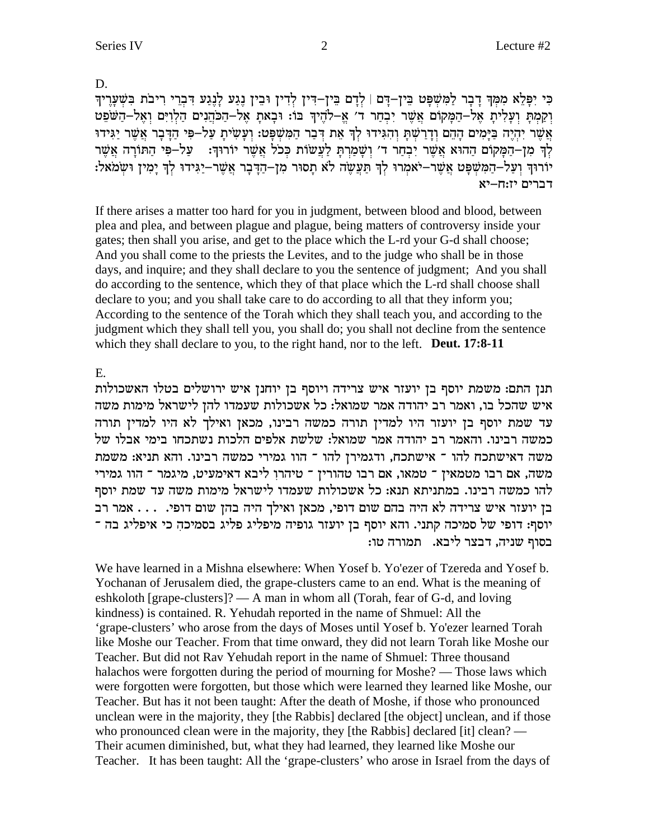D.

כִּי יִפָּלֵא מִמְךָ דָבָר לַמְשִׁפָּט בֵּין–דָּם | לְדָם בֵּין–דִּין לְדִין וּבֵין נֶגַע לְנֶגַע דִּבְרֵי רִיבֹת בִּשְׁעָרֶיךָ וקמת ועלית אל-המקום אשר יבחר ד' א-להיך בו: ובאת אל-הכהנים הלוים ואל-השפט אֲשֶׁר יִהְיֶה בַּיָּמִים הָהֶם וְדָרַשְׁתַּ וְהִגִּידוּ לְךָ אֶת דְּבַר הַמְּשָׁפָּט: וְעַשִׂיתָ עַל-פִּי הַדָּבָר אֲשֶׁר יַגִּידוּ לְךָ מְןְ–הַמַּקוֹם הַהוּא אֲשֶׁר יִבְחַר ד' וְשָׁמַרְתַּ לַעֲשׂוֹת כְּכֹל אֲשֶׁר יוֹרוּךָ: \_ עַל–פִּי הַתּוֹרָה אֲשֶׁר יוֹרוּךְ וְעַלְ–הַמְּשָׁפָּט אֲשֵׁר–יֹאמְרוּ לְךְ תַּעֲשֵׂה לֹא תָסוּר מִן–הַדֶּבָר אֲשֵׁר–יַגִּידוּ לְךְ יָמְין וּשָׂמֹאל: דברים יז:ח–יא

If there arises a matter too hard for you in judgment, between blood and blood, between plea and plea, and between plague and plague, being matters of controversy inside your gates; then shall you arise, and get to the place which the L-rd your G-d shall choose; And you shall come to the priests the Levites, and to the judge who shall be in those days, and inquire; and they shall declare to you the sentence of judgment; And you shall do according to the sentence, which they of that place which the L-rd shall choose shall declare to you; and you shall take care to do according to all that they inform you; According to the sentence of the Torah which they shall teach you, and according to the judgment which they shall tell you, you shall do; you shall not decline from the sentence which they shall declare to you, to the right hand, nor to the left. Deut. 17:8-11

E.

תנן התם: משמת יוסף בן יועזר איש צרידה ויוסף בן יוחנן איש ירושלים בטלו האשכולות איש שהכל בו, ואמר רב יהודה אמר שמואל: כל אשכולות שעמדו להן לישראל מימות משה עד שמת יוסף בן יועזר היו למדין תורה כמשה רבינו, מכאן ואילך לא היו למדין תורה כמשה רבינו. והאמר רב יהודה אמר שמואל: שלשת אלפים הלכות נשתכחו בימי אבלו של משה דאישתכח להו ־ אישתכח, ודגמירן להו ־ הוו גמירי כמשה רבינו. והא תניא: משמת י הוו גמירי בתירי מטמאין מינאו, אם הבו מהורין מיהרן מיכא הייתה מינגל מינגל מינגירי משת להו כמשה רבינו. במתניתא תנא: כל אשכולות שעמדו לישראל מימות משה עד שמת יוסף בן יועזר איש צרידה לא היה בהם שום דופי, מכאן ואילך היה בהן שום דופי. . . . אמר רב יוסף: דופי של סמיכה קתני. והא יוסף בן יועזר גופיה מיפליג פליג בסמיכה כי איפליג בה ־ בסוף שניה, דבצר ליבא. תמורה טו:

We have learned in a Mishna elsewhere: When Yosef b. Yo'ezer of Tzereda and Yosef b. Yochanan of Jerusalem died, the grape-clusters came to an end. What is the meaning of eshkoloth [grape-clusters]? — A man in whom all (Torah, fear of G-d, and loving kindness) is contained. R. Yehudah reported in the name of Shmuel: All the 'grape-clusters' who arose from the days of Moses until Yosef b. Yo'ezer learned Torah like Moshe our Teacher. From that time onward, they did not learn Torah like Moshe our Teacher. But did not Rav Yehudah report in the name of Shmuel: Three thousand halachos were forgotten during the period of mourning for Moshe? — Those laws which were forgotten were forgotten, but those which were learned they learned like Moshe, our Teacher. But has it not been taught: After the death of Moshe, if those who pronounced unclean were in the majority, they [the Rabbis] declared [the object] unclean, and if those who pronounced clean were in the majority, they [the Rabbis] declared [it] clean? — Their acumen diminished, but, what they had learned, they learned like Moshe our Teacher. It has been taught: All the 'grape-clusters' who arose in Israel from the days of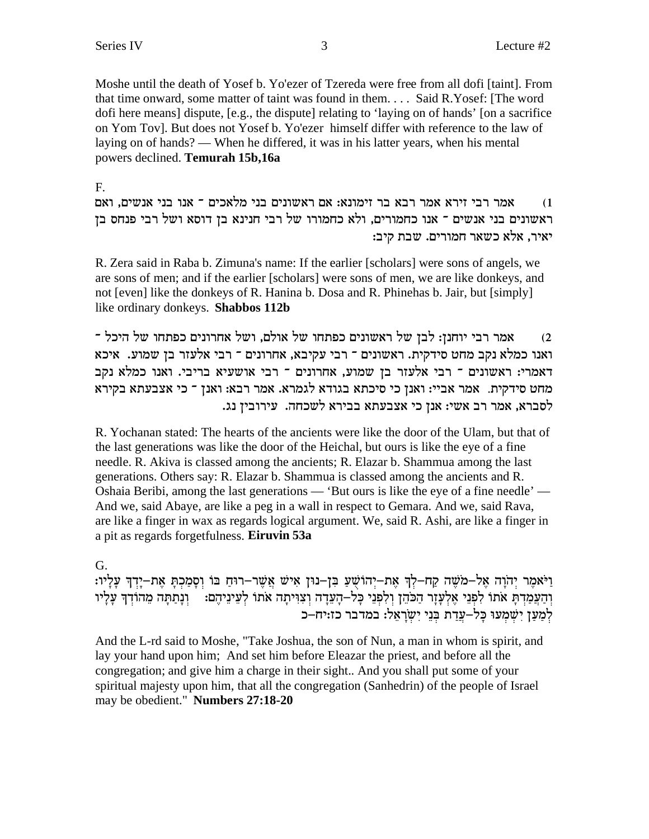Moshe until the death of Yosef b. Yo'ezer of Tzereda were free from all dofi [taint]. From that time onward, some matter of taint was found in them.... Said R.Yosef: [The word dofi here means] dispute, [e.g., the dispute] relating to 'laying on of hands' [on a sacrifice on Yom Tov]. But does not Yosef b. Yo'ezer himself differ with reference to the law of laying on of hands? — When he differed, it was in his latter years, when his mental powers declined. Temurah 15b,16a

## F.

אמר רבי זירא אמר רבא בר זימונא: אם ראשונים בני מלאכים ־ אנו בני אנשים, ואם  $(1)$ ראשונים בני אנשים ־ אנו כחמורים, ולא כחמורו של רבי חנינא בן דוסא ושל רבי פנחס בן יאיר, אלא כשאר חמורים. שבת קיב:

R. Zera said in Raba b. Zimuna's name: If the earlier [scholars] were sons of angels, we are sons of men; and if the earlier [scholars] were sons of men, we are like donkeys, and not [even] like the donkeys of R. Hanina b. Dosa and R. Phinehas b. Jair, but [simply] like ordinary donkeys. Shabbos 112b

אמר רבי יוחנן: לבן של ראשונים כפתחו של אולם, ושל אחרונים כפתחו של היכל ־  $(2)$ ואנו כמלא נקב מחט סידקית. ראשונים ־ רבי עקיבא, אחרונים ־ רבי אלעזר בן שמוע. איכא דאמרי: ראשונים ־ רבי אלעזר בן שמוע, אחרונים ־ רבי אושעיא בריבי. ואנו כמלא נקב מחט סידקית. אמר אביי: ואנן כי סיכתא בגודא לגמרא. אמר רבא: ואנן ־ כי אצבעתא בקירא לסברא, אמר רב אשי: אנן כי אצבעתא בבירא לשכחה. עירובין נג.

R. Yochanan stated: The hearts of the ancients were like the door of the Ulam, but that of the last generations was like the door of the Heichal, but ours is like the eye of a fine needle. R. Akiva is classed among the ancients; R. Elazar b. Shammua among the last generations. Others say: R. Elazar b. Shammua is classed among the ancients and R. Oshaia Beribi, among the last generations — 'But ours is like the eye of a fine needle' — And we, said Abaye, are like a peg in a wall in respect to Gemara. And we, said Rava, are like a finger in wax as regards logical argument. We, said R. Ashi, are like a finger in a pit as regards forgetfulness. Eiruvin 53a

# G.

וַיֹּאמֵר יִהוָה אֱל–מֹשֶׁה קַח–לִךְ אֶת–יְהוֹשָׁעַ בִּן–נוּן אִישׁ אֲשֶׁר–רוּחַ בּוֹ וְסָמַכְתְּ אֶת–יְדְךָ עָלְיו: וְהַעֲמַדְתָּ אתו לִפְנֵי אֵלְעָזֶר הַכֹּהֵן וִלְפְנֵי כָּל–הָעֵדָה וְצִוִּיתָה אתו לְעֵינֵיהֵם: ່ וְנָתַתָּה מֵהוֹדְךָ עָלָיו למען ישמעו כַּלֹ–עֲדַת בּנֵי יִשְרָאֵל: במדבר כז:יח–כ

And the L-rd said to Moshe, "Take Joshua, the son of Nun, a man in whom is spirit, and lay your hand upon him; And set him before Eleazar the priest, and before all the congregation; and give him a charge in their sight.. And you shall put some of your spiritual majesty upon him, that all the congregation (Sanhedrin) of the people of Israel may be obedient." Numbers 27:18-20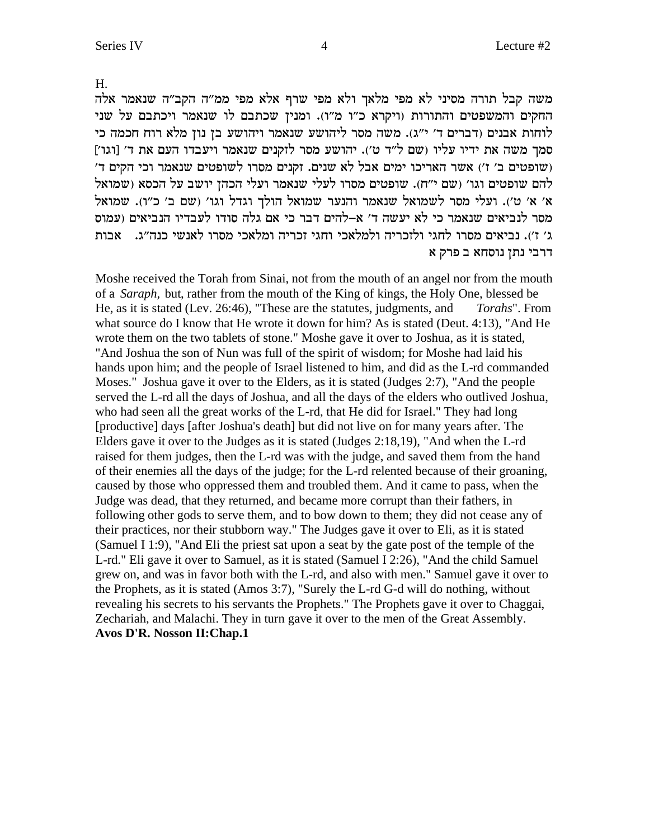H.

משה קבל תורה מסיני לא מפי מלאך ולא מפי שרף אלא מפי ממ"ה הקב"ה שנאמר אלה החקים והמשפטים והתורות (ויקרא כ"ו מ"ו). ומנין שכתבם לו שנאמר ויכתבם על שני לוחות אבנים (דברים ד' י"ג). משה מסר ליהושע שנאמר ויהושע בן נון מלא רוח חכמה כי סמך משה את ידיו עליו (שם ל"ד ט'). יהושע מסר לזקנים שנאמר ויעבדו העם את ד' [וגו'] (שופטים ב׳ ז׳) אשר האריכו ימים אבל לא שנים. זקנים מסרו לשופטים שנאמר וכי הקים ד׳ להם שופטים וגו' (שם י"ח). שופטים מסרו לעלי שנאמר ועלי הכהן יושב על הכסא (שמואל א׳ א׳ ט׳). ועלי מסר לשמואל שנאמר והנער שמואל הולך וגדל וגו׳ (שם ב׳ כ׳׳ו). שמואל מסר לנביאים שנאמר כי לא יעשה ד׳ א–להים דבר כי אם גלה סודו לעבדיו הנביאים (עמוס ג׳ ז׳). נביאים מסרו לחגי ולזכריה ולמלאכי וחגי זכריה ומלאכי מסרו לאנשי כנה״ג. | אבות דרבי נתן נוסחא ב פרק א

Moshe received the Torah from Sinai, not from the mouth of an angel nor from the mouth of a *Saraph*, but, rather from the mouth of the King of kings, the Holy One, blessed be He, as it is stated (Lev. 26:46), "These are the statutes, judgments, and Torahs". From what source do I know that He wrote it down for him? As is stated (Deut. 4:13), "And He wrote them on the two tablets of stone." Moshe gave it over to Joshua, as it is stated, "And Joshua the son of Nun was full of the spirit of wisdom; for Moshe had laid his hands upon him; and the people of Israel listened to him, and did as the L-rd commanded Moses." Joshua gave it over to the Elders, as it is stated (Judges 2:7), "And the people served the L-rd all the days of Joshua, and all the days of the elders who outlived Joshua, who had seen all the great works of the L-rd, that He did for Israel." They had long [productive] days [after Joshua's death] but did not live on for many years after. The Elders gave it over to the Judges as it is stated (Judges 2:18,19), "And when the L-rd raised for them judges, then the L-rd was with the judge, and saved them from the hand of their enemies all the days of the judge; for the L-rd relented because of their groaning, caused by those who oppressed them and troubled them. And it came to pass, when the Judge was dead, that they returned, and became more corrupt than their fathers, in following other gods to serve them, and to bow down to them; they did not cease any of their practices, nor their stubborn way." The Judges gave it over to Eli, as it is stated (Samuel I 1:9), "And Eli the priest sat upon a seat by the gate post of the temple of the L-rd." Eli gave it over to Samuel, as it is stated (Samuel I 2:26), "And the child Samuel grew on, and was in favor both with the L-rd, and also with men." Samuel gave it over to the Prophets, as it is stated (Amos 3:7), "Surely the L-rd G-d will do nothing, without revealing his secrets to his servants the Prophets." The Prophets gave it over to Chaggai, Zechariah, and Malachi. They in turn gave it over to the men of the Great Assembly. Avos D'R. Nosson II: Chap.1

 $\overline{4}$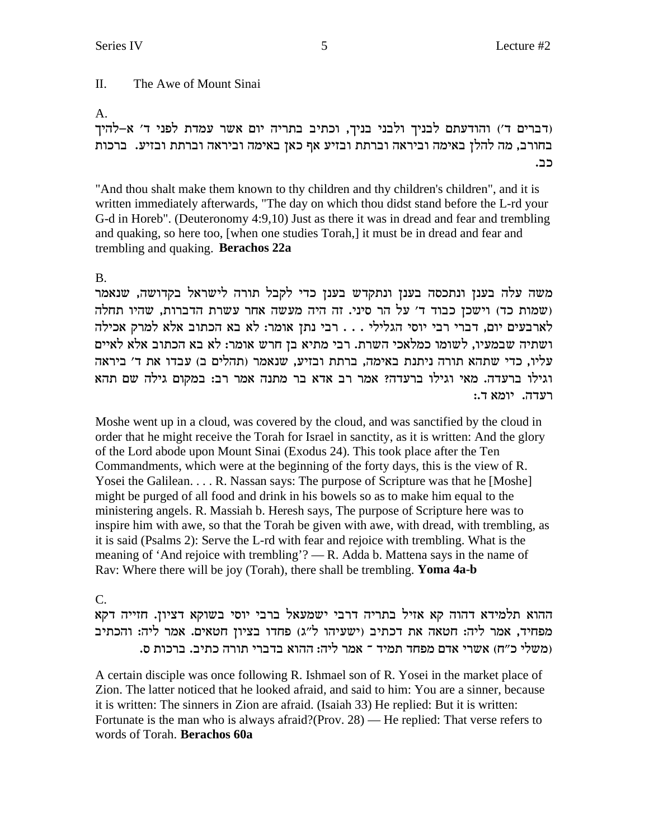#### $\Pi$ . The Awe of Mount Sinai

#### A.

(דברים ד') והודעתם לבניך ולבני בניך, וכתיב בתריה יום אשר עמדת לפני ד' א-להיך בחורב, מה להלן באימה וביראה וברתת ובזיע אף כאן באימה וביראה וברתת ובזיע. ברכות כב.

"And thou shalt make them known to thy children and thy children's children", and it is written immediately afterwards, "The day on which thou didst stand before the L-rd your G-d in Horeb". (Deuteronomy 4:9,10) Just as there it was in dread and fear and trembling and quaking, so here too, [when one studies Torah,] it must be in dread and fear and trembling and quaking. Berachos 22a

### $B<sub>1</sub>$

משה עלה בענן ונתכסה בענן ונתקדש בענן כדי לקבל תורה לישראל בקדושה, שנאמר ושמות כד) וישכן כבוד ד' על הר סיני. זה היה מעשה אחר עשרת הדברות, שהיו תחלה לארבעים יום, דברי רבי יוסי הגלילי . . . רבי נתן אומר: לא בא הכתוב אלא למרק אכילה ושתיה שבמעיו, לשומו כמלאכי השרת. רבי מתיא בן חרש אומר: לא בא הכתוב אלא לאיים עליו, כדי שתהא תורה ניתנת באימה, ברתת ובזיע, שנאמר (תהלים ב) עבדו את ד' ביראה וגילו ברעדה. מאי וגילו ברעדה? אמר רב אדא בר מתנה אמר רב: במקום גילה שם תהא רעדה. יומא ד.:

Moshe went up in a cloud, was covered by the cloud, and was sanctified by the cloud in order that he might receive the Torah for Israel in sanctity, as it is written: And the glory of the Lord abode upon Mount Sinai (Exodus 24). This took place after the Ten Commandments, which were at the beginning of the forty days, this is the view of R. Yosei the Galilean. . . . R. Nassan says: The purpose of Scripture was that he [Moshe] might be purged of all food and drink in his bowels so as to make him equal to the ministering angels. R. Massiah b. Heresh says, The purpose of Scripture here was to inspire him with awe, so that the Torah be given with awe, with dread, with trembling, as it is said (Psalms 2): Serve the L-rd with fear and rejoice with trembling. What is the meaning of 'And rejoice with trembling'? — R. Adda b. Mattena says in the name of Rav: Where there will be joy (Torah), there shall be trembling. Yoma 4a-b

# $C_{\cdot}$

ההוא תלמידא דהוה קא אזיל בתריה דרבי ישמעאל ברבי יוסי בשוקא דציון. חזייה דקא מפחיד, אמר ליה: חטאה את דכתיב (ישעיהו ל"ג) פחדו בציון חטאים. אמר ליה: והכתיב (משלי כ״ח) אשרי אדם מפחד תמיד ־ אמר ליה: ההוא בדברי תורה כתיב. ברכות ס.

A certain disciple was once following R. Ishmael son of R. Yosei in the market place of Zion. The latter noticed that he looked afraid, and said to him: You are a sinner, because it is written: The sinners in Zion are afraid. (Isaiah 33) He replied: But it is written: Fortunate is the man who is always afraid?(Prov.  $28$ ) — He replied: That verse refers to words of Torah. Berachos 60a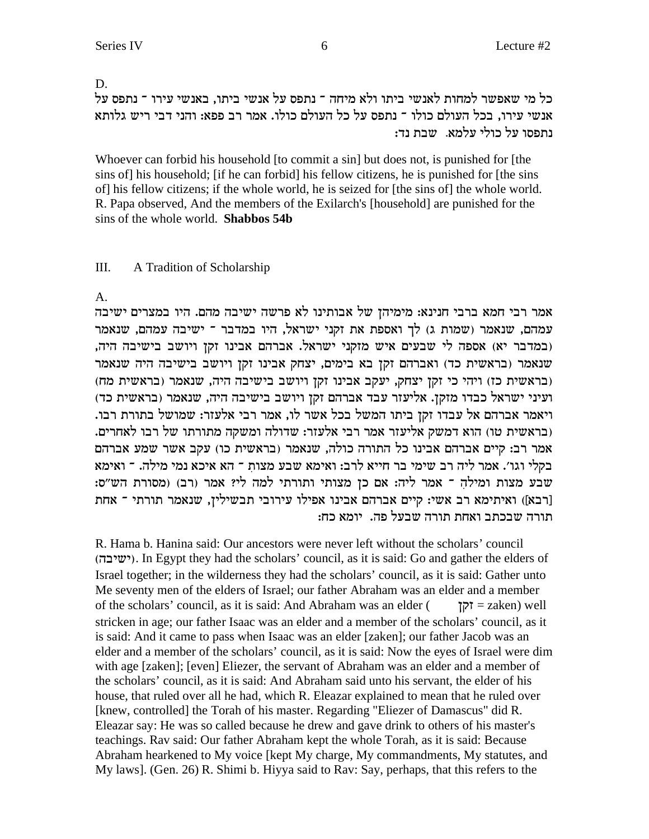# D. כל מי שאפשר למחות לאנשי ביתו ולא מיחה ־ נתפס על אנשי ביתו, באנשי עירו ־ נתפס על אנשי עירו. בכל העולם כולו <sup>–</sup> נתפס על כל העולם כולו. אמר רב פפא: והני דבי ריש גלותא נתפסו על כולי עלמא. שבת נד:

Whoever can forbid his household [to commit a sin] but does not, is punished for [the sins of] his household; [if he can forbid] his fellow citizens, he is punished for [the sins of] his fellow citizens; if the whole world, he is seized for [the sins of] the whole world. R. Papa observed, And the members of the Exilarch's [household] are punished for the sins of the whole world. **Shabbos 54b**

# III. A Tradition of Scholarship

### A.

אמר רבי חמא ברבי חנינא: מימיהן של אבותינו לא פרשה ישיבה מהם. היו במצרים ישיבה עמהם, שנאמר (שמות ג) לך ואספת את זקני ישראל, היו במדבר ־ ישיבה עמהם, שנאמר , כמדבר יא) אספה לי שבעים איש מזקני ישראל. אברהם אבינו זקן ויושב בישיבה היה) שנאמר (בראשית כד) ואברהם זקן בא בימים, יצחק אבינו זקן ויושב בישיבה היה שנאמר (בראשית כז) ויהי כי זקן יצחק, יעקב אבינו זקן ויושב בישיבה היה, שנאמר (בראשית מח) (עיני ישראל כבדו מזקן. אליעזר עבד אברהם זקן ויושב בישיבה היה, שנאמר (בראשית כד .<br>ויאמר אברהם אל עבדו זקז ביתו המשל בכל אשר לו, אמר רבי אלעזר: שמושל בתורת רבו . בראשית טו) הוא דמשק אליעזר אמר רבי אלעזר: שדולה ומשקה מתורתו של רבו לאחרים) אמר רב: קיים אברהם אבינו כל התורה כולה, שנאמר (בראשית כו) עקב אשר שמע אברהם בקלי וגו׳. אמר ליה רב שימי בר חייא לרב: ואימא שבע מצות ־ הא איכא נמי מילה. ־ ואימא :שבע מצות ומילה ־ אמר ליה: אם כן מצותי ותורתי למה לי? אמר (רב) (מסורת הש"ס דרבא]) האיתימא רב אשי: קיים אברהם אבינו אפילו עירובי תבשילין, שנאמר תורתי ה אחת תורה שבכתב ואחת תורה שבעל פה. יומא כח:

R. Hama b. Hanina said: Our ancestors were never left without the scholars' council (ישיבה). In Egypt they had the scholars' council, as it is said: Go and gather the elders of Israel together; in the wilderness they had the scholars' council, as it is said: Gather unto Me seventy men of the elders of Israel; our father Abraham was an elder and a member of the scholars' council, as it is said: And Abraham was an elder ( $\tau$  = zaken) well stricken in age; our father Isaac was an elder and a member of the scholars' council, as it is said: And it came to pass when Isaac was an elder [zaken]; our father Jacob was an elder and a member of the scholars' council, as it is said: Now the eyes of Israel were dim with age [zaken]; [even] Eliezer, the servant of Abraham was an elder and a member of the scholars' council, as it is said: And Abraham said unto his servant, the elder of his house, that ruled over all he had, which R. Eleazar explained to mean that he ruled over [knew, controlled] the Torah of his master. Regarding "Eliezer of Damascus" did R. Eleazar say: He was so called because he drew and gave drink to others of his master's teachings. Rav said: Our father Abraham kept the whole Torah, as it is said: Because Abraham hearkened to My voice [kept My charge, My commandments, My statutes, and My laws]. (Gen. 26) R. Shimi b. Hiyya said to Rav: Say, perhaps, that this refers to the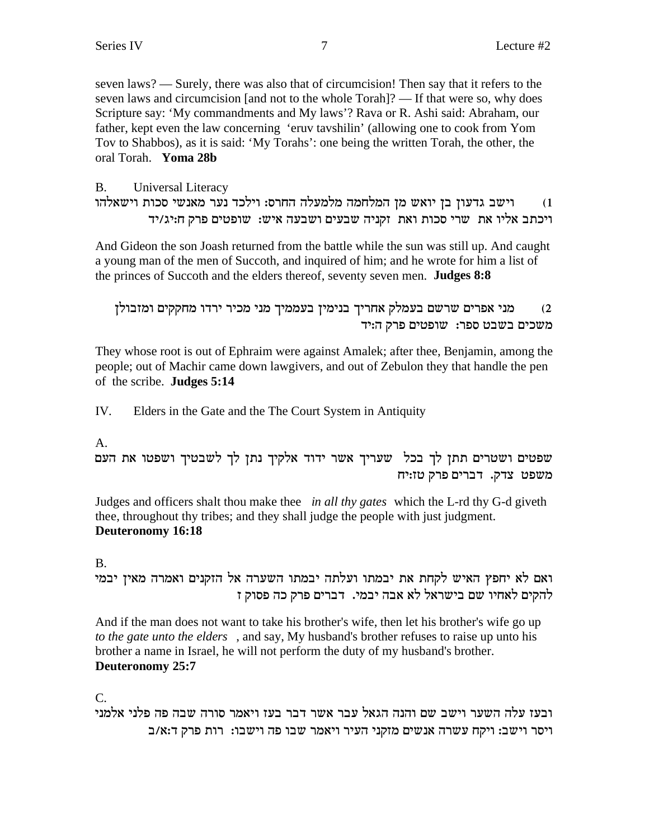seven laws? — Surely, there was also that of circumcision! Then say that it refers to the seven laws and circumcision [and not to the whole Torah]? — If that were so, why does Scripture say: 'My commandments and My laws'? Rava or R. Ashi said: Abraham, our father, kept even the law concerning 'eruv tavshilin' (allowing one to cook from Yom Tov to Shabbos), as it is said: 'My Torahs': one being the written Torah, the other, the oral Torah. Yoma 28b

#### Universal Literacy  $B<sub>1</sub>$ וישב גדעון בן יואש מן המלחמה מלמעלה החרס: וילכד נער מאנשי סכות וישאלהו  $(1)$ ויכתב אליו את שרי סכות ואת זקניה שבעים ושבעה איש: שופטים פרק ח:יג/יד

And Gideon the son Joash returned from the battle while the sun was still up. And caught a young man of the men of Succoth, and inquired of him; and he wrote for him a list of the princes of Succoth and the elders thereof, seventy seven men. **Judges 8:8** 

```
מני אפרים שרשם בעמלק אחריך בנימין בעממיך מני מכיר ירדו מחקקים ומזבולן
                                                            (2)משכים בשבט ספר: שופטים פרק ה:יד
```
They whose root is out of Ephraim were against Amalek; after thee, Benjamin, among the people; out of Machir came down lawgivers, and out of Zebulon they that handle the pen of the scribe. Judges 5:14

IV. Elders in the Gate and the The Court System in Antiquity

# A.

שפטים ושטרים תתן לך בכל שעריך אשר ידוד אלקיך נתן לך לשבטיך ושפטו את העם משפט צדק. דברים פרק טז:יח

Judges and officers shalt thou make thee *in all thy gates* which the L-rd thy G-d giveth thee, throughout thy tribes; and they shall judge the people with just judgment. Deuteronomy 16:18

 $B<sub>1</sub>$ 

ואם לא יחפץ האיש לקחת את יבמתו ועלתה יבמתו השערה אל הזקנים ואמרה מאין יבמי להקים לאחיו שם בישראל לא אבה יבמי. דברים פרק כה פסוק ז

And if the man does not want to take his brother's wife, then let his brother's wife go up to the gate unto the elders, and say, My husband's brother refuses to raise up unto his brother a name in Israel, he will not perform the duty of my husband's brother. Deuteronomy 25:7

 $C_{\cdot}$ 

ובעז עלה השער וישב שם והנה הגאל עבר אשר דבר בעז ויאמר סורה שבה פה פלני אלמני ויסר וישב: ויקח עשרה אנשים מזקני העיר ויאמר שבו פה וישבו: רות פרק ד:א/ב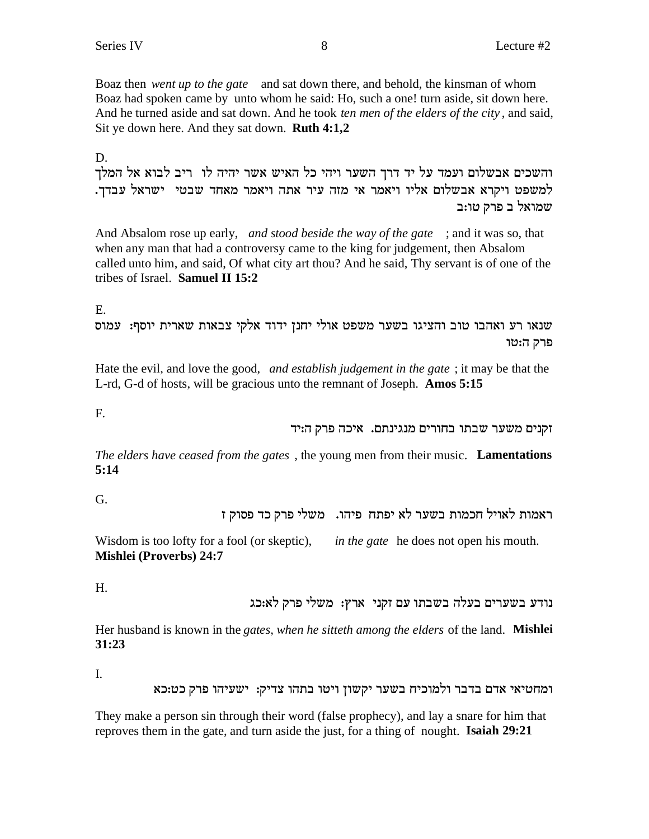Boaz then *went up to the gate* and sat down there, and behold, the kinsman of whom Boaz had spoken came by unto whom he said: Ho, such a one! turn aside, sit down here. And he turned aside and sat down. And he took *ten men of the elders of the city* , and said, Sit ye down here. And they sat down. **Ruth 4:1,2**

D.

והשכים אבשלום ועמד על יד דרך השער ויהי כל האיש אשר יהיה לו ריב לבוא אל המלך .<br>למשפט ויקרא אבשלום אליו ויאמר אי מזה עיר אתה ויאמר מאחד שבטי ישראל עבדך. שמואל ב פרק טו:ב $w$ 

And Absalom rose up early, *and stood beside the way of the gate* ; and it was so, that when any man that had a controversy came to the king for judgement, then Absalom called unto him, and said, Of what city art thou? And he said, Thy servant is of one of the tribes of Israel. **Samuel II 15:2**

E.

ענאו רע ואהבו טוב והציגו בשער משפט אולי יחנן ידוד אלקי צבאות שארית יוסף: עמוס פרק ה:טו

Hate the evil, and love the good, *and establish judgement in the gate* ; it may be that the L-rd, G-d of hosts, will be gracious unto the remnant of Joseph. **Amos 5:15**

F.

זקנים משער שבתו בחורים מנגינתם. איכה פרק ה:יד

*The elders have ceased from the gates* , the young men from their music. **Lamentations 5:14**

G.

ראמות לאויל חכמות בשער לא יפתח פיהו. משלי פרק כד פסוק ז

Wisdom is too lofty for a fool (or skeptic), *in the gate* he does not open his mouth. **Mishlei (Proverbs) 24:7**

H.

נודע בשערים בעלה בשבתו עם זקני ארץ: משלי פרק לא:כג

Her husband is known in the *gates, when he sitteth among the elders* of the land. **Mishlei 31:23**

I.

ומחטיאי אדם בדבר ולמוכיח בשער יקשון ויטו בתהו צדיק: ישעיהו פרק כט:כא

They make a person sin through their word (false prophecy), and lay a snare for him that reproves them in the gate, and turn aside the just, for a thing of nought. **Isaiah 29:21**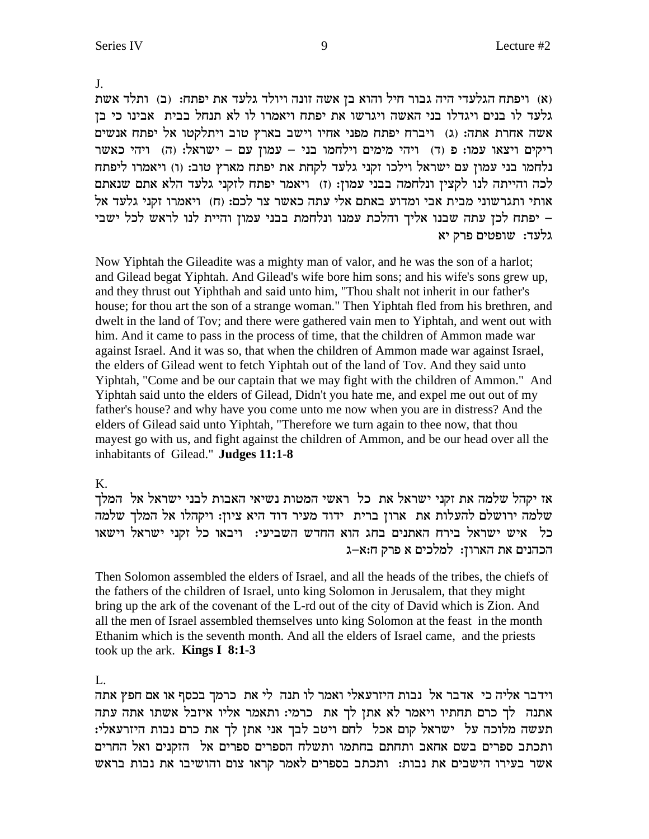$J<sub>1</sub>$ 

(א) ויפתח הגלעדי היה גבור חיל והוא בן אשה זונה ויולד גלעד את יפתח: (ב) ותלד אשת גלעד לו בנים ויגדלו בני האשה ויגרשו את יפתח ויאמרו לו לא תנחל בבית אבינו כי בן אשה אחרת אתה: (ג) ויברח יפתח מפני אחיו וישב בארץ טוב ויתלקטו אל יפתח אנשים ריקים ויצאו עמו: פ (ד) ויהי מימים וילחמו בני – עמון עם – ישראל: (ה) ויהי כאשר נלחמו בני עמון עם ישראל וילכו זקני גלעד לקחת את יפתח מארץ טוב: (ו) ויאמרו ליפתח לכה והייתה לנו לקצין ונלחמה בבני עמון: (ז) ויאמר יפתח לזקני גלעד הלא אתם שנאתם אותי ותגרשוני מבית אבי ומדוע באתם אלי עתה כאשר צר לכם: (ח) ויאמרו זקני גלעד אל - יפתח לכן עתה שבנו אליך והלכת עמנו ונלחמת בבני עמון והיית לנו לראש לכל ישבי גלעד: שופטים פרק יא

Now Yiphtah the Gileadite was a mighty man of valor, and he was the son of a harlot; and Gilead begat Yiphtah. And Gilead's wife bore him sons; and his wife's sons grew up, and they thrust out Yiphthah and said unto him, "Thou shalt not inherit in our father's house; for thou art the son of a strange woman." Then Yiphtah fled from his brethren, and dwelt in the land of Tov; and there were gathered vain men to Yiphtah, and went out with him. And it came to pass in the process of time, that the children of Ammon made war against Israel. And it was so, that when the children of Ammon made war against Israel, the elders of Gilead went to fetch Yiphtah out of the land of Tov. And they said unto Yiphtah, "Come and be our captain that we may fight with the children of Ammon." And Yiphtah said unto the elders of Gilead, Didn't you hate me, and expel me out out of my father's house? and why have you come unto me now when you are in distress? And the elders of Gilead said unto Yiphtah, "Therefore we turn again to thee now, that thou mayest go with us, and fight against the children of Ammon, and be our head over all the inhabitants of Gilead." Judges 11:1-8

# $K_{\cdot}$

אז יקהל שלמה את זקני ישראל את כל ראשי המטות נשיאי האבות לבני ישראל אל המלך שלמה ירושלם להעלות את ארון ברית ידוד מעיר דוד היא ציון: ויקהלו אל המלך שלמה כל איש ישראל בירח האתנים בחג הוא החדש השביעי: ויבאו כל זקני ישראל וישאו הכהנים את הארון: למלכים א פרק ח:א–ג

Then Solomon assembled the elders of Israel, and all the heads of the tribes, the chiefs of the fathers of the children of Israel, unto king Solomon in Jerusalem, that they might bring up the ark of the covenant of the L-rd out of the city of David which is Zion. And all the men of Israel assembled themselves unto king Solomon at the feast in the month Ethanim which is the seventh month. And all the elders of Israel came, and the priests took up the ark. **Kings I 8:1-3** 

# $\mathbf{L}$

וידבר אליה כי אדבר אל נבות היזרעאלי ואמר לו תנה לי את כרמך בכסף או אם חפץ אתה אתנה לך כרם תחתיו ויאמר לא אתן לך את כרמי: ותאמר אליו איזבל אשתו אתה עתה תעשה מלוכה על ישראל קום אכל לחם ויטב לבך אני אתן לך את כרם נבות היזרעאלי: ותכתב ספרים בשם אחאב ותחתם בחתמו ותשלח הספרים ספרים אל הזקנים ואל החרים אשר בעירו הישבים את נבות: ותכתב בספרים לאמר קראו צום והושיבו את נבות בראש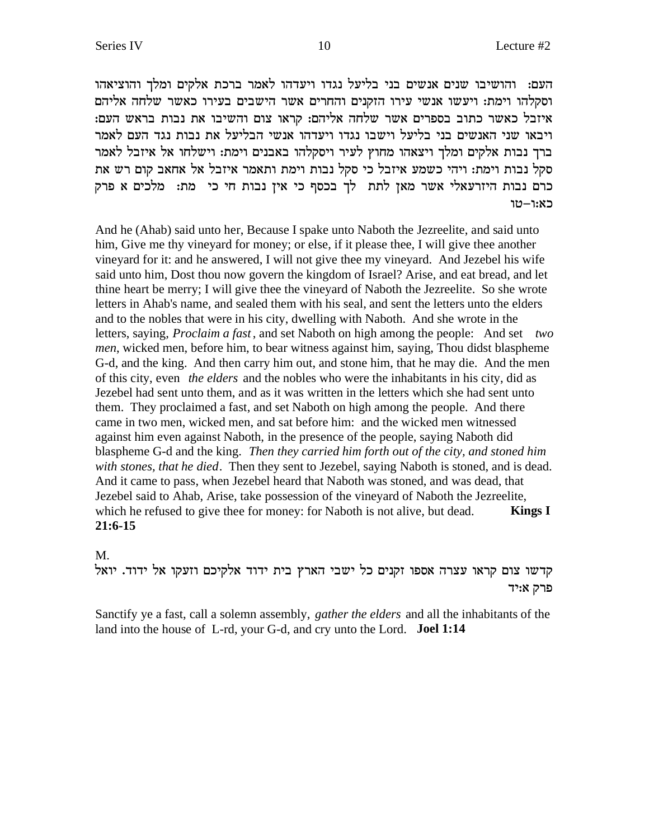העם: והושיבו שנים אנשים בני בליעל נגדו ויעדהו לאמר ברכת אלקים ומלך והוציאהו וסקלהו וימת: ויעשו אנשי עירו הזקנים והחרים אשר הישבים בעירו כאשר שלחה אליהם :איזבל כאשר כתוב בספרים אשר שלחה אליהם: קראו צום והשיבו את נבות בראש העם ויבאו שני האנשים בני בליעל וישבו נגדו ויעדהו אנשי הבליעל את נבות נגד העם לאמר ברך נבות אלקים ומלך ויצאהו מחוץ לעיר ויסקלהו באבנים וימת: וישלחו אל איזבל לאמר סקל נבות וימת: ויהי כשמע איזבל כי סקל נבות וימת ותאמר איזבל אל אחאב קום רש את כרם נבות היזרעאלי אשר מאן לתת לך בכסף כי אין נבות חי כי מת: מלכים א פרק כא:ו–טו

And he (Ahab) said unto her, Because I spake unto Naboth the Jezreelite, and said unto him, Give me thy vineyard for money; or else, if it please thee, I will give thee another vineyard for it: and he answered, I will not give thee my vineyard. And Jezebel his wife said unto him, Dost thou now govern the kingdom of Israel? Arise, and eat bread, and let thine heart be merry; I will give thee the vineyard of Naboth the Jezreelite. So she wrote letters in Ahab's name, and sealed them with his seal, and sent the letters unto the elders and to the nobles that were in his city, dwelling with Naboth. And she wrote in the letters, saying, *Proclaim a fast* , and set Naboth on high among the people: And set *two men*, wicked men, before him, to bear witness against him, saying, Thou didst blaspheme G-d, and the king. And then carry him out, and stone him, that he may die. And the men of this city, even *the elders* and the nobles who were the inhabitants in his city, did as Jezebel had sent unto them, and as it was written in the letters which she had sent unto them. They proclaimed a fast, and set Naboth on high among the people. And there came in two men, wicked men, and sat before him: and the wicked men witnessed against him even against Naboth, in the presence of the people, saying Naboth did blaspheme G-d and the king. *Then they carried him forth out of the city, and stoned him with stones, that he died*. Then they sent to Jezebel, saying Naboth is stoned, and is dead. And it came to pass, when Jezebel heard that Naboth was stoned, and was dead, that Jezebel said to Ahab, Arise, take possession of the vineyard of Naboth the Jezreelite, which he refused to give thee for money: for Naboth is not alive, but dead. **Kings I 21:6-15**

#### M.

קדשו צום קראו עצרה אספו זקנים כל ישבי הארץ בית ידוד אלקיכם וזעקו אל ידוד. יואל פרק א:יד

Sanctify ye a fast, call a solemn assembly, *gather the elders* and all the inhabitants of the land into the house of L-rd, your G-d, and cry unto the Lord. **Joel 1:14**